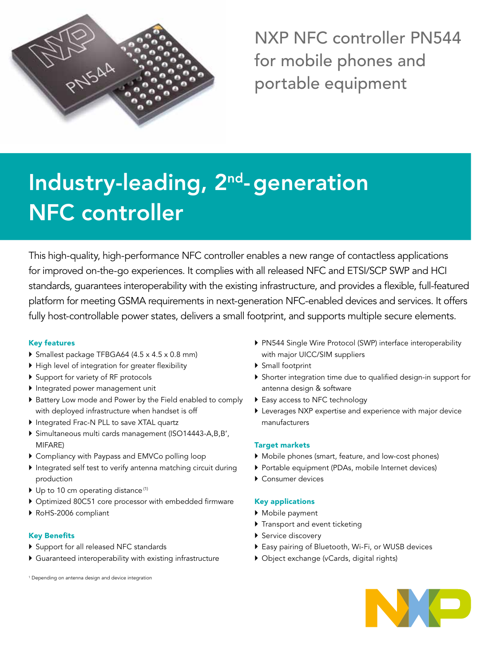

NXP NFC controller PN544 for mobile phones and portable equipment

# Industry-leading, 2<sup>nd</sup>-generation NFC controller

This high-quality, high-performance NFC controller enables a new range of contactless applications for improved on-the-go experiences. It complies with all released NFC and ETSI/SCP SWP and HCI standards, guarantees interoperability with the existing infrastructure, and provides a flexible, full-featured platform for meeting GSMA requirements in next-generation NFC-enabled devices and services. It offers fully host-controllable power states, delivers a small footprint, and supports multiple secure elements.

# Key features

- } Smallest package TFBGA64 (4.5 x 4.5 x 0.8 mm)
- ▶ High level of integration for greater flexibility
- ▶ Support for variety of RF protocols
- } Integrated power management unit
- } Battery Low mode and Power by the Field enabled to comply with deployed infrastructure when handset is off
- } Integrated Frac-N PLL to save XTAL quartz
- } Simultaneous multi cards management (ISO14443-A,B,B', MIFARE)
- } Compliancy with Paypass and EMVCo polling loop
- } Integrated self test to verify antenna matching circuit during production
- $\blacktriangleright$  Up to 10 cm operating distance<sup>(1)</sup>
- } Optimized 80C51 core processor with embedded firmware
- } RoHS-2006 compliant

# Key Benefits

- } Support for all released NFC standards
- } Guaranteed interoperability with existing infrastructure

1 Depending on antenna design and device integration

- } PN544 Single Wire Protocol (SWP) interface interoperability with major UICC/SIM suppliers
- ▶ Small footprint
- } Shorter integration time due to qualified design-in support for antenna design & software
- ▶ Easy access to NFC technology
- } Leverages NXP expertise and experience with major device manufacturers

# Target markets

- } Mobile phones (smart, feature, and low-cost phones)
- } Portable equipment (PDAs, mobile Internet devices)
- ▶ Consumer devices

# Key applications

- ▶ Mobile payment
- } Transport and event ticketing
- ▶ Service discovery
- ▶ Easy pairing of Bluetooth, Wi-Fi, or WUSB devices
- } Object exchange (vCards, digital rights)

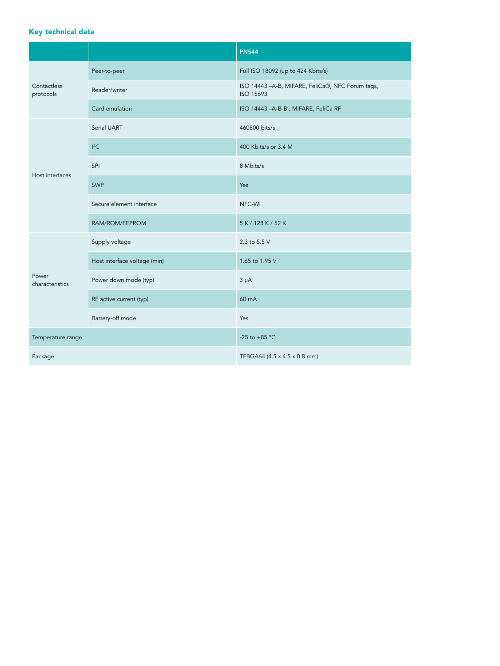# Key technical data

|                          |                              | <b>PN544</b>                                                   |
|--------------------------|------------------------------|----------------------------------------------------------------|
| Contactless<br>protocols | Peer-to-peer                 | Full ISO 18092 (up to 424 Kbits/s)                             |
|                          | Reader/writer                | ISO 14443 - A-B, MIFARE, FeliCa®, NFC Forum tags,<br>ISO 15693 |
|                          | Card emulation               | ISO 14443 - A-B-B', MIFARE, FeliCa RF                          |
| Host interfaces          | Serial UART                  | 460800 bits/s                                                  |
|                          | $I^2C$                       | 400 Kbits/s or 3.4 M                                           |
|                          | SPI                          | 8 Mbits/s                                                      |
|                          | <b>SWP</b>                   | Yes                                                            |
|                          | Secure element interface     | NFC-WI                                                         |
|                          | RAM/ROM/EEPROM               | 5 K / 128 K / 52 K                                             |
| Power<br>characteristics | Supply voltage               | 2.3 to 5.5 V                                                   |
|                          | Host interface voltage (min) | 1.65 to 1.95 V                                                 |
|                          | Power down mode (typ)        | $3 \mu A$                                                      |
|                          | RF active current (typ)      | 60 mA                                                          |
|                          | Battery-off mode             | Yes                                                            |
| Temperature range        |                              | -25 to +85 $^{\circ}$ C                                        |
| Package                  |                              | TFBGA64 (4.5 x 4.5 x 0.8 mm)                                   |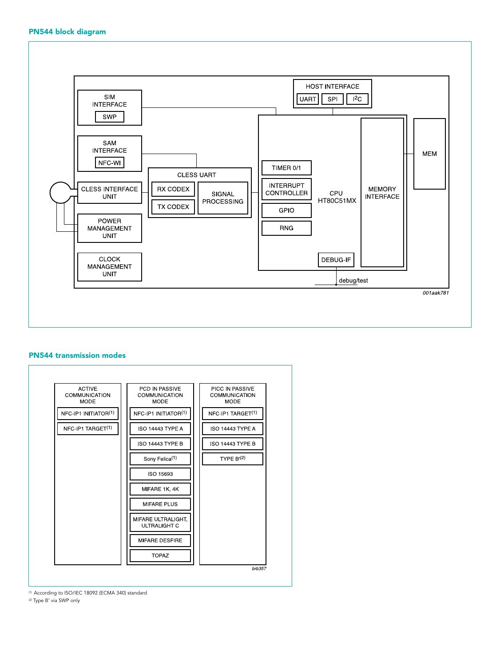### PN544 block diagram



#### PN544 transmission modes



(1) According to ISO/IEC 18092 (ECMA 340) standard

(2) Type B' via SWP only